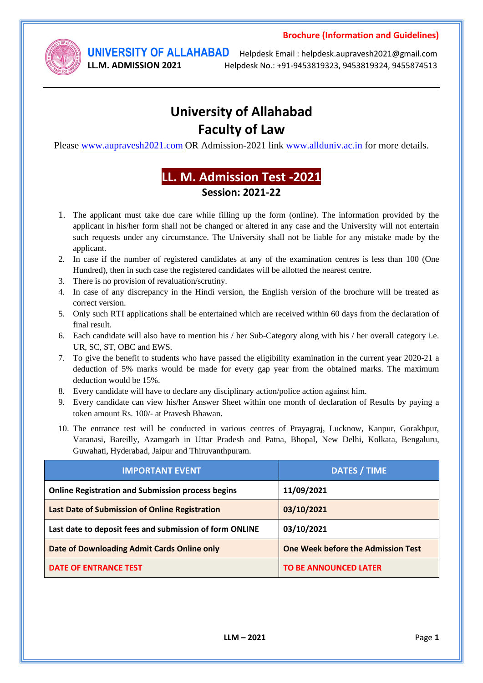

**UNIVERSITY OF ALLAHABAD** Helpdesk Email : helpdesk.aupravesh2021@gmail.com **LL.M. ADMISSION 2021** Helpdesk No.: +91-9453819323, 9453819324, 9455874513

# **University of Allahabad Faculty of Law**

Please [www.aupravesh2021.com](http://www.aupravesh2019.com/) OR Admission-2021 link [www.allduniv.ac.in](http://www.allduniv.ac.in/) for more details.

# **LL. M. Admission Test -2021 Session: 2021-22**

- 1. The applicant must take due care while filling up the form (online). The information provided by the applicant in his/her form shall not be changed or altered in any case and the University will not entertain such requests under any circumstance. The University shall not be liable for any mistake made by the applicant.
- 2. In case if the number of registered candidates at any of the examination centres is less than 100 (One Hundred), then in such case the registered candidates will be allotted the nearest centre.
- 3. There is no provision of revaluation/scrutiny.
- 4. In case of any discrepancy in the Hindi version, the English version of the brochure will be treated as correct version.
- 5. Only such RTI applications shall be entertained which are received within 60 days from the declaration of final result.
- 6. Each candidate will also have to mention his / her Sub-Category along with his / her overall category i.e. UR, SC, ST, OBC and EWS.
- 7. To give the benefit to students who have passed the eligibility examination in the current year 2020-21 a deduction of 5% marks would be made for every gap year from the obtained marks. The maximum deduction would be 15%.
- 8. Every candidate will have to declare any disciplinary action/police action against him.
- 9. Every candidate can view his/her Answer Sheet within one month of declaration of Results by paying a token amount Rs. 100/- at Pravesh Bhawan.
- 10. The entrance test will be conducted in various centres of Prayagraj, Lucknow, Kanpur, Gorakhpur, Varanasi, Bareilly, Azamgarh in Uttar Pradesh and Patna, Bhopal, New Delhi, Kolkata, Bengaluru, Guwahati, Hyderabad, Jaipur and Thiruvanthpuram.

| <b>IMPORTANT EVENT</b>                                   | <b>DATES / TIME</b>                       |
|----------------------------------------------------------|-------------------------------------------|
| <b>Online Registration and Submission process begins</b> | 11/09/2021                                |
| Last Date of Submission of Online Registration           | 03/10/2021                                |
| Last date to deposit fees and submission of form ONLINE  | 03/10/2021                                |
| Date of Downloading Admit Cards Online only              | <b>One Week before the Admission Test</b> |
| DATE OF ENTRANCE TEST                                    | <b>TO BE ANNOUNCED LATER</b>              |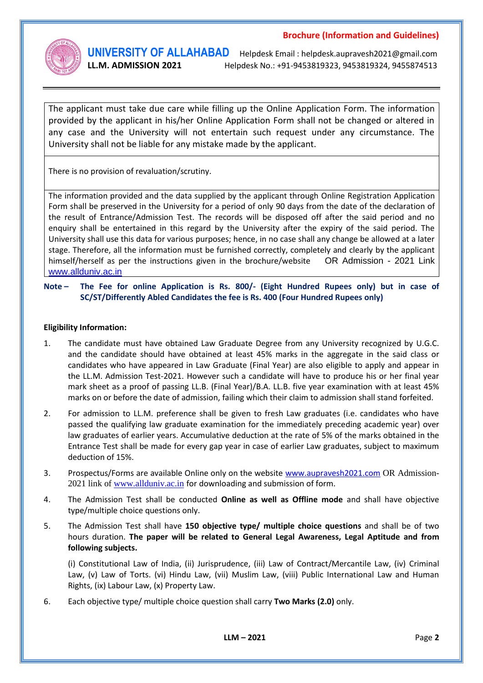

**UNIVERSITY OF ALLAHABAD** Helpdesk Email : helpdesk.aupravesh2021@gmail.com **LL.M. ADMISSION 2021** Helpdesk No.: +91-9453819323, 9453819324, 9455874513

The applicant must take due care while filling up the Online Application Form. The information provided by the applicant in his/her Online Application Form shall not be changed or altered in any case and the University will not entertain such request under any circumstance. The University shall not be liable for any mistake made by the applicant.

There is no provision of revaluation/scrutiny.

The information provided and the data supplied by the applicant through Online Registration Application Form shall be preserved in the University for a period of only 90 days from the date of the declaration of the result of Entrance/Admission Test. The records will be disposed off after the said period and no enquiry shall be entertained in this regard by the University after the expiry of the said period. The University shall use this data for various purposes; hence, in no case shall any change be allowed at a later stage. Therefore, all the information must be furnished correctly, completely and clearly by the applicant himself/herself as per the instructions given in the brochure/website OR Admission - 2021 Link [www.allduniv.ac.in](http://www.allduniv.ac.in/)

**Note – The Fee for online Application is Rs. 800/- (Eight Hundred Rupees only) but in case of SC/ST/Differently Abled Candidates the fee is Rs. 400 (Four Hundred Rupees only)**

#### **Eligibility Information:**

- 1. The candidate must have obtained Law Graduate Degree from any University recognized by U.G.C. and the candidate should have obtained at least 45% marks in the aggregate in the said class or candidates who have appeared in Law Graduate (Final Year) are also eligible to apply and appear in the LL.M. Admission Test-2021. However such a candidate will have to produce his or her final year mark sheet as a proof of passing LL.B. (Final Year)/B.A. LL.B. five year examination with at least 45% marks on or before the date of admission, failing which their claim to admission shall stand forfeited.
- 2. For admission to LL.M. preference shall be given to fresh Law graduates (i.e. candidates who have passed the qualifying law graduate examination for the immediately preceding academic year) over law graduates of earlier years. Accumulative deduction at the rate of 5% of the marks obtained in the Entrance Test shall be made for every gap year in case of earlier Law graduates, subject to maximum deduction of 15%.
- 3. Prospectus/Forms are available Online only on the website [www.aupravesh2021.com](http://www.allduniv.ac.in/) OR Admission2021 link of [www.allduniv.ac.in](http://www.allduniv.ac.in/) for downloading and submission of form.
- 4. The Admission Test shall be conducted **Online as well as Offline mode** and shall have objective type/multiple choice questions only.
- 5. The Admission Test shall have **150 objective type/ multiple choice questions** and shall be of two hours duration. **The paper will be related to General Legal Awareness, Legal Aptitude and from following subjects.**

(i) Constitutional Law of India, (ii) Jurisprudence, (iii) Law of Contract/Mercantile Law, (iv) Criminal Law, (v) Law of Torts. (vi) Hindu Law, (vii) Muslim Law, (viii) Public International Law and Human Rights, (ix) Labour Law, (x) Property Law.

6. Each objective type/ multiple choice question shall carry **Two Marks (2.0)** only.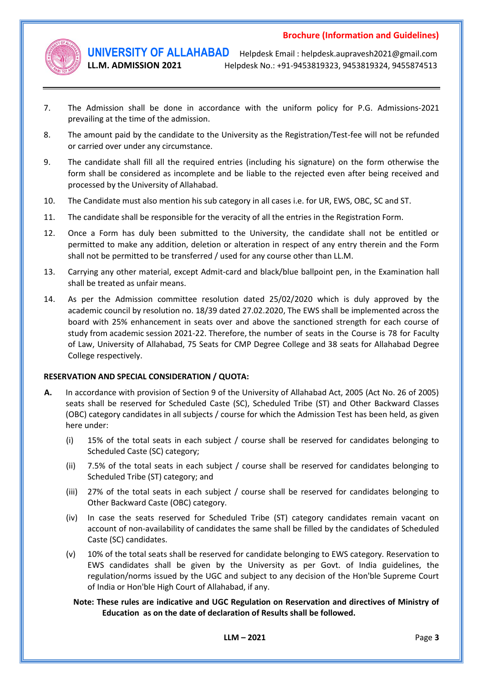

**UNIVERSITY OF ALLAHABAD** Helpdesk Email : helpdesk.aupravesh2021@gmail.com **LL.M. ADMISSION 2021** Helpdesk No.: +91-9453819323, 9453819324, 9455874513

- 7. The Admission shall be done in accordance with the uniform policy for P.G. Admissions-2021 prevailing at the time of the admission.
- 8. The amount paid by the candidate to the University as the Registration/Test-fee will not be refunded or carried over under any circumstance.
- 9. The candidate shall fill all the required entries (including his signature) on the form otherwise the form shall be considered as incomplete and be liable to the rejected even after being received and processed by the University of Allahabad.
- 10. The Candidate must also mention his sub category in all cases i.e. for UR, EWS, OBC, SC and ST.
- 11. The candidate shall be responsible for the veracity of all the entries in the Registration Form.
- 12. Once a Form has duly been submitted to the University, the candidate shall not be entitled or permitted to make any addition, deletion or alteration in respect of any entry therein and the Form shall not be permitted to be transferred / used for any course other than LL.M.
- 13. Carrying any other material, except Admit-card and black/blue ballpoint pen, in the Examination hall shall be treated as unfair means.
- 14. As per the Admission committee resolution dated 25/02/2020 which is duly approved by the academic council by resolution no. 18/39 dated 27.02.2020, The EWS shall be implemented across the board with 25% enhancement in seats over and above the sanctioned strength for each course of study from academic session 2021-22. Therefore, the number of seats in the Course is 78 for Faculty of Law, University of Allahabad, 75 Seats for CMP Degree College and 38 seats for Allahabad Degree College respectively.

#### **RESERVATION AND SPECIAL CONSIDERATION / QUOTA:**

- **A.** In accordance with provision of Section 9 of the University of Allahabad Act, 2005 (Act No. 26 of 2005) seats shall be reserved for Scheduled Caste (SC), Scheduled Tribe (ST) and Other Backward Classes (OBC) category candidates in all subjects / course for which the Admission Test has been held, as given here under:
	- (i) 15% of the total seats in each subject / course shall be reserved for candidates belonging to Scheduled Caste (SC) category;
	- (ii) 7.5% of the total seats in each subject / course shall be reserved for candidates belonging to Scheduled Tribe (ST) category; and
	- (iii) 27% of the total seats in each subject / course shall be reserved for candidates belonging to Other Backward Caste (OBC) category.
	- (iv) In case the seats reserved for Scheduled Tribe (ST) category candidates remain vacant on account of non-availability of candidates the same shall be filled by the candidates of Scheduled Caste (SC) candidates.
	- (v) 10% of the total seats shall be reserved for candidate belonging to EWS category. Reservation to EWS candidates shall be given by the University as per Govt. of India guidelines, the regulation/norms issued by the UGC and subject to any decision of the Hon'ble Supreme Court of India or Hon'ble High Court of Allahabad, if any.

#### **Note: These rules are indicative and UGC Regulation on Reservation and directives of Ministry of Education as on the date of declaration of Results shall be followed.**

**LLM – 2021** Page **3**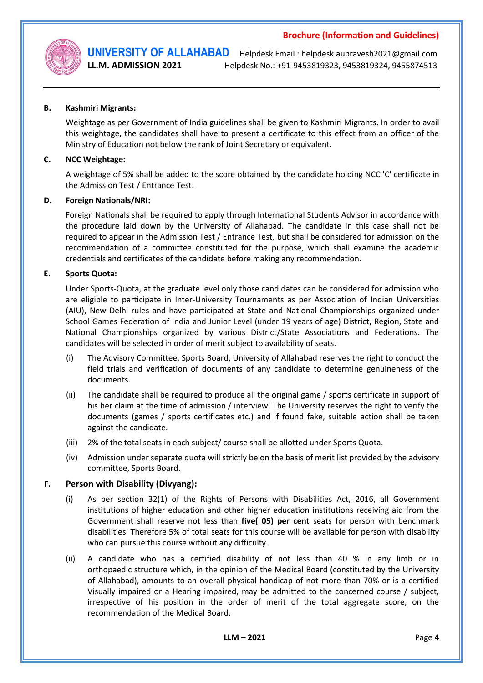

**UNIVERSITY OF ALLAHABAD** Helpdesk Email : helpdesk.aupravesh2021@gmail.com **LL.M. ADMISSION 2021** Helpdesk No.: +91-9453819323, 9453819324, 9455874513

#### **B. Kashmiri Migrants:**

Weightage as per Government of India guidelines shall be given to Kashmiri Migrants. In order to avail this weightage, the candidates shall have to present a certificate to this effect from an officer of the Ministry of Education not below the rank of Joint Secretary or equivalent.

#### **C. NCC Weightage:**

A weightage of 5% shall be added to the score obtained by the candidate holding NCC 'C' certificate in the Admission Test / Entrance Test.

#### **D. Foreign Nationals/NRI:**

Foreign Nationals shall be required to apply through International Students Advisor in accordance with the procedure laid down by the University of Allahabad. The candidate in this case shall not be required to appear in the Admission Test / Entrance Test, but shall be considered for admission on the recommendation of a committee constituted for the purpose, which shall examine the academic credentials and certificates of the candidate before making any recommendation.

#### **E. Sports Quota:**

Under Sports-Quota, at the graduate level only those candidates can be considered for admission who are eligible to participate in Inter-University Tournaments as per Association of Indian Universities (AIU), New Delhi rules and have participated at State and National Championships organized under School Games Federation of India and Junior Level (under 19 years of age) District, Region, State and National Championships organized by various District/State Associations and Federations. The candidates will be selected in order of merit subject to availability of seats.

- (i) The Advisory Committee, Sports Board, University of Allahabad reserves the right to conduct the field trials and verification of documents of any candidate to determine genuineness of the documents.
- (ii) The candidate shall be required to produce all the original game / sports certificate in support of his her claim at the time of admission / interview. The University reserves the right to verify the documents (games / sports certificates etc.) and if found fake, suitable action shall be taken against the candidate.
- (iii) 2% of the total seats in each subject/ course shall be allotted under Sports Quota.
- (iv) Admission under separate quota will strictly be on the basis of merit list provided by the advisory committee, Sports Board.

#### **F. Person with Disability (Divyang):**

- (i) As per section 32(1) of the Rights of Persons with Disabilities Act, 2016, all Government institutions of higher education and other higher education institutions receiving aid from the Government shall reserve not less than **five( 05) per cent** seats for person with benchmark disabilities. Therefore 5% of total seats for this course will be available for person with disability who can pursue this course without any difficulty.
- (ii) A candidate who has a certified disability of not less than 40 % in any limb or in orthopaedic structure which, in the opinion of the Medical Board (constituted by the University of Allahabad), amounts to an overall physical handicap of not more than 70% or is a certified Visually impaired or a Hearing impaired, may be admitted to the concerned course / subject, irrespective of his position in the order of merit of the total aggregate score, on the recommendation of the Medical Board.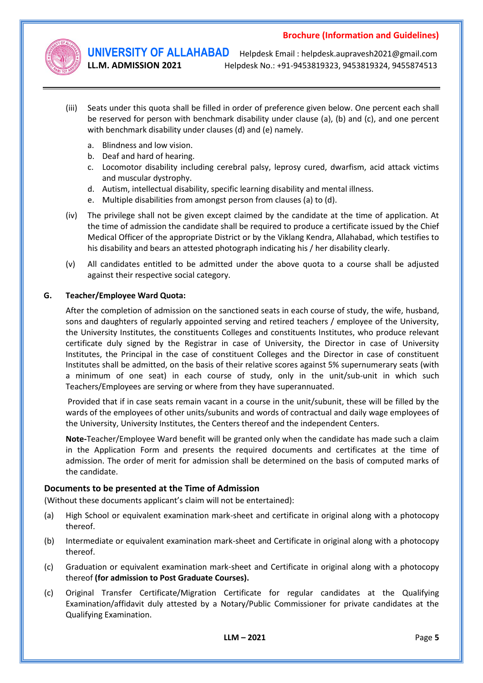

**UNIVERSITY OF ALLAHABAD** Helpdesk Email : helpdesk.aupravesh2021@gmail.com **LL.M. ADMISSION 2021** Helpdesk No.: +91-9453819323, 9453819324, 9455874513

- (iii) Seats under this quota shall be filled in order of preference given below. One percent each shall be reserved for person with benchmark disability under clause (a), (b) and (c), and one percent with benchmark disability under clauses (d) and (e) namely.
	- a. Blindness and low vision.
	- b. Deaf and hard of hearing.
	- c. Locomotor disability including cerebral palsy, leprosy cured, dwarfism, acid attack victims and muscular dystrophy.
	- d. Autism, intellectual disability, specific learning disability and mental illness.
	- e. Multiple disabilities from amongst person from clauses (a) to (d).
- (iv) The privilege shall not be given except claimed by the candidate at the time of application. At the time of admission the candidate shall be required to produce a certificate issued by the Chief Medical Officer of the appropriate District or by the Viklang Kendra, Allahabad, which testifies to his disability and bears an attested photograph indicating his / her disability clearly.
- (v) All candidates entitled to be admitted under the above quota to a course shall be adjusted against their respective social category.

#### **G. Teacher/Employee Ward Quota:**

After the completion of admission on the sanctioned seats in each course of study, the wife, husband, sons and daughters of regularly appointed serving and retired teachers / employee of the University, the University Institutes, the constituents Colleges and constituents Institutes, who produce relevant certificate duly signed by the Registrar in case of University, the Director in case of University Institutes, the Principal in the case of constituent Colleges and the Director in case of constituent Institutes shall be admitted, on the basis of their relative scores against 5% supernumerary seats (with a minimum of one seat) in each course of study, only in the unit/sub-unit in which such Teachers/Employees are serving or where from they have superannuated.

Provided that if in case seats remain vacant in a course in the unit/subunit, these will be filled by the wards of the employees of other units/subunits and words of contractual and daily wage employees of the University, University Institutes, the Centers thereof and the independent Centers.

**Note-**Teacher/Employee Ward benefit will be granted only when the candidate has made such a claim in the Application Form and presents the required documents and certificates at the time of admission. The order of merit for admission shall be determined on the basis of computed marks of the candidate.

#### **Documents to be presented at the Time of Admission**

(Without these documents applicant's claim will not be entertained):

- (a) High School or equivalent examination mark-sheet and certificate in original along with a photocopy thereof.
- (b) Intermediate or equivalent examination mark-sheet and Certificate in original along with a photocopy thereof.
- (c) Graduation or equivalent examination mark-sheet and Certificate in original along with a photocopy thereof **(for admission to Post Graduate Courses).**
- (c) Original Transfer Certificate/Migration Certificate for regular candidates at the Qualifying Examination/affidavit duly attested by a Notary/Public Commissioner for private candidates at the Qualifying Examination.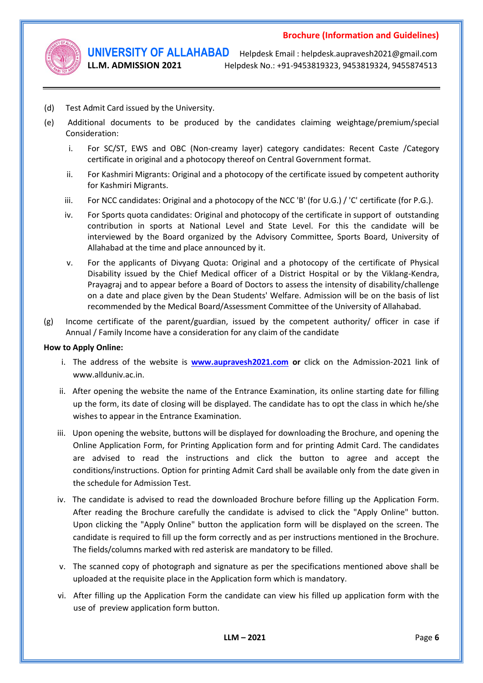

**UNIVERSITY OF ALLAHABAD** Helpdesk Email : helpdesk.aupravesh2021@gmail.com **LL.M. ADMISSION 2021** Helpdesk No.: +91-9453819323, 9453819324, 9455874513

- (d) Test Admit Card issued by the University.
- (e) Additional documents to be produced by the candidates claiming weightage/premium/special Consideration:
	- i. For SC/ST, EWS and OBC (Non-creamy layer) category candidates: Recent Caste /Category certificate in original and a photocopy thereof on Central Government format.
	- ii. For Kashmiri Migrants: Original and a photocopy of the certificate issued by competent authority for Kashmiri Migrants.
	- iii. For NCC candidates: Original and a photocopy of the NCC 'B' (for U.G.) / 'C' certificate (for P.G.).
	- iv. For Sports quota candidates: Original and photocopy of the certificate in support of outstanding contribution in sports at National Level and State Level. For this the candidate will be interviewed by the Board organized by the Advisory Committee, Sports Board, University of Allahabad at the time and place announced by it.
	- v. For the applicants of Divyang Quota: Original and a photocopy of the certificate of Physical Disability issued by the Chief Medical officer of a District Hospital or by the Viklang-Kendra, Prayagraj and to appear before a Board of Doctors to assess the intensity of disability/challenge on a date and place given by the Dean Students' Welfare. Admission will be on the basis of list recommended by the Medical Board/Assessment Committee of the University of Allahabad.
- (g) Income certificate of the parent/guardian, issued by the competent authority/ officer in case if Annual / Family Income have a consideration for any claim of the candidate

#### **How to Apply Online:**

- i. The address of the website is **[www.aupravesh2021.com](http://www.allduniv.ac.in/) or** click on the Admission-2021 link of www.allduniv.ac.in.
- ii. After opening the website the name of the Entrance Examination, its online starting date for filling up the form, its date of closing will be displayed. The candidate has to opt the class in which he/she wishes to appear in the Entrance Examination.
- iii. Upon opening the website, buttons will be displayed for downloading the Brochure, and opening the Online Application Form, for Printing Application form and for printing Admit Card. The candidates are advised to read the instructions and click the button to agree and accept the conditions/instructions. Option for printing Admit Card shall be available only from the date given in the schedule for Admission Test.
- iv. The candidate is advised to read the downloaded Brochure before filling up the Application Form. After reading the Brochure carefully the candidate is advised to click the "Apply Online" button. Upon clicking the "Apply Online" button the application form will be displayed on the screen. The candidate is required to fill up the form correctly and as per instructions mentioned in the Brochure. The fields/columns marked with red asterisk are mandatory to be filled.
- v. The scanned copy of photograph and signature as per the specifications mentioned above shall be uploaded at the requisite place in the Application form which is mandatory.
- vi. After filling up the Application Form the candidate can view his filled up application form with the use of preview application form button.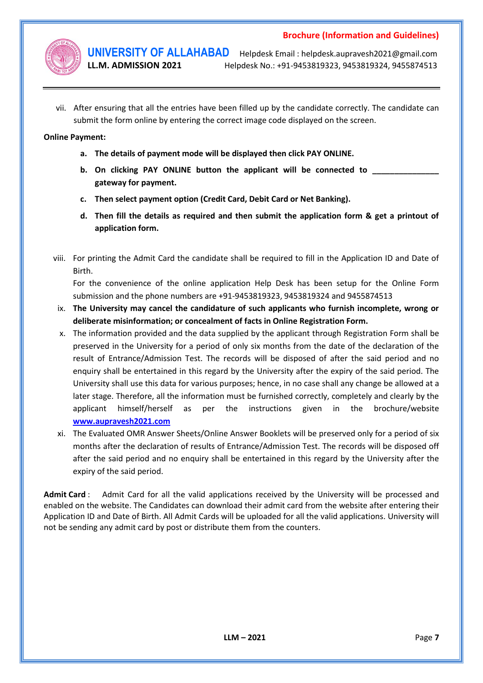

**UNIVERSITY OF ALLAHABAD** Helpdesk Email : helpdesk.aupravesh2021@gmail.com **LL.M. ADMISSION 2021** Helpdesk No.: +91-9453819323, 9453819324, 9455874513

vii. After ensuring that all the entries have been filled up by the candidate correctly. The candidate can submit the form online by entering the correct image code displayed on the screen.

#### **Online Payment:**

- **a. The details of payment mode will be displayed then click PAY ONLINE.**
- **b.** On clicking PAY ONLINE button the applicant will be connected to **gateway for payment.**
- **c. Then select payment option (Credit Card, Debit Card or Net Banking).**
- **d. Then fill the details as required and then submit the application form & get a printout of application form.**
- viii. For printing the Admit Card the candidate shall be required to fill in the Application ID and Date of Birth.

For the convenience of the online application Help Desk has been setup for the Online Form submission and the phone numbers are +91-9453819323, 9453819324 and 9455874513

- ix. **The University may cancel the candidature of such applicants who furnish incomplete, wrong or deliberate misinformation; or concealment of facts in Online Registration Form.**
- x. The information provided and the data supplied by the applicant through Registration Form shall be preserved in the University for a period of only six months from the date of the declaration of the result of Entrance/Admission Test. The records will be disposed of after the said period and no enquiry shall be entertained in this regard by the University after the expiry of the said period. The University shall use this data for various purposes; hence, in no case shall any change be allowed at a later stage. Therefore, all the information must be furnished correctly, completely and clearly by the applicant himself/herself as per the instructions given in the brochure/website **[www.aupravesh2021.com](http://www.allduniv.ac.in/)**
- xi. The Evaluated OMR Answer Sheets/Online Answer Booklets will be preserved only for a period of six months after the declaration of results of Entrance/Admission Test. The records will be disposed off after the said period and no enquiry shall be entertained in this regard by the University after the expiry of the said period.

**Admit Card** : Admit Card for all the valid applications received by the University will be processed and enabled on the website. The Candidates can download their admit card from the website after entering their Application ID and Date of Birth. All Admit Cards will be uploaded for all the valid applications. University will not be sending any admit card by post or distribute them from the counters.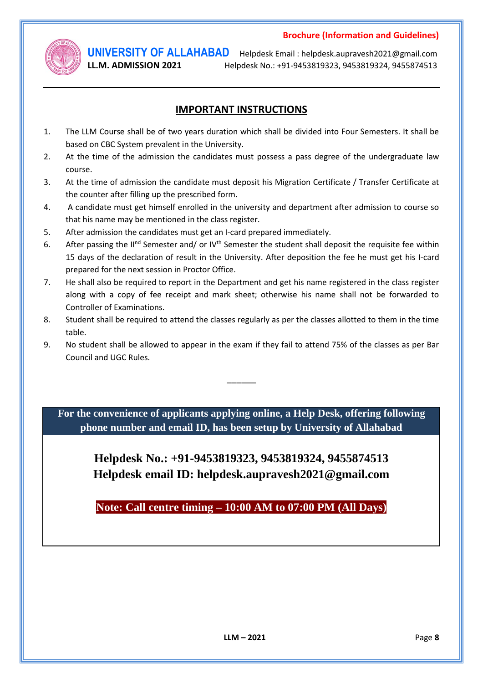

**UNIVERSITY OF ALLAHABAD** Helpdesk Email : helpdesk.aupravesh2021@gmail.com **LL.M. ADMISSION 2021** Helpdesk No.: +91-9453819323, 9453819324, 9455874513

# **IMPORTANT INSTRUCTIONS**

- 1. The LLM Course shall be of two years duration which shall be divided into Four Semesters. It shall be based on CBC System prevalent in the University.
- 2. At the time of the admission the candidates must possess a pass degree of the undergraduate law course.
- 3. At the time of admission the candidate must deposit his Migration Certificate / Transfer Certificate at the counter after filling up the prescribed form.
- 4. A candidate must get himself enrolled in the university and department after admission to course so that his name may be mentioned in the class register.
- 5. After admission the candidates must get an I-card prepared immediately.
- 6. After passing the II<sup>nd</sup> Semester and/ or IV<sup>th</sup> Semester the student shall deposit the requisite fee within 15 days of the declaration of result in the University. After deposition the fee he must get his I-card prepared for the next session in Proctor Office.
- 7. He shall also be required to report in the Department and get his name registered in the class register along with a copy of fee receipt and mark sheet; otherwise his name shall not be forwarded to Controller of Examinations.
- 8. Student shall be required to attend the classes regularly as per the classes allotted to them in the time table.
- 9. No student shall be allowed to appear in the exam if they fail to attend 75% of the classes as per Bar Council and UGC Rules.

 $\overline{\phantom{a}}$ 

**For the convenience of applicants applying online, a Help Desk, offering following phone number and email ID, has been setup by University of Allahabad**

> **Helpdesk No.: +91-9453819323, 9453819324, 9455874513 Helpdesk email ID: helpdesk.aupravesh2021@gmail.com**

**Note: Call centre timing – 10:00 AM to 07:00 PM (All Days)**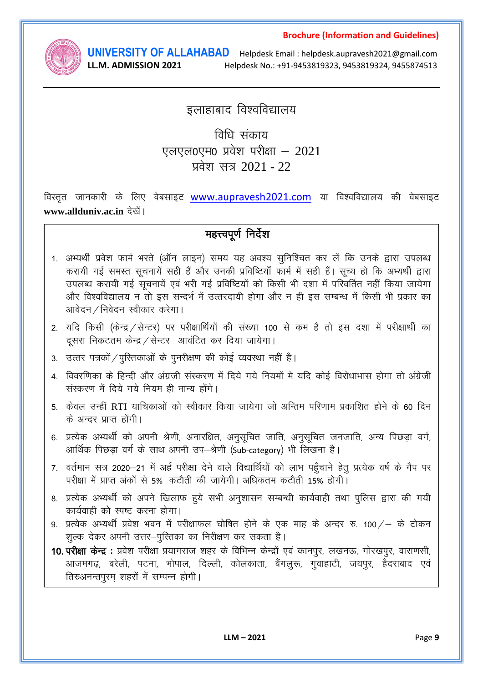

LL.M. ADMISSION 2021

**UNIVERSITY OF ALLAHABAD** Helpdesk Email : helpdesk.aupravesh2021@gmail.com Helpdesk No.: +91-9453819323, 9453819324, 9455874513

# इलाहाबाद विश्वविद्यालय

# विधि संकाय एलएल0एम0 प्रवेश परीक्षा - 2021 प्रवेश सत्र 2021 - 22

विस्तृत जानकारी के लिए वेबसाइट www.aupravesh2021.com या विश्वविद्यालय की वेबसाइट www.allduniv.ac.in देखें।

# महत्त्वपूर्ण निर्देश

- 1. अभ्यर्थी प्रवेश फार्म भरते (ऑन लाइन) समय यह अवश्य सुनिश्चित कर लें कि उनके द्वारा उपलब्ध करायी गई समस्त सचनायें सही हैं और उनकी प्रविष्टियाँ फार्म में सही हैं। सच्य हो कि अभ्यर्थी द्वारा उपलब्ध करायी गई सूचनायें एवं भरी गई प्रविष्टियों को किसी भी दशा में परिवर्तित नहीं किया जायेगा और विश्वविद्यालय न तो इस सन्दर्भ में उत्तरदायी होगा और न ही इस सम्बन्ध में किसी भी प्रकार का आवेदन / निवेदन स्वीकार करेगा।
- 2. यदि किसी (केन्द्र / सेन्टर) पर परीक्षार्थियों की संख्या 100 से कम है तो इस दशा में परीक्षार्थी का दसरा निकटतम केन्द्र / सेन्टर आवंटित कर दिया जायेगा।
- 3. उत्तर पत्रकों / पुस्तिकाओं के पुनरीक्षण की कोई व्यवस्था नहीं है।
- 4. विवरणिका के हिन्दी और अंग्रजी संस्करण में दिये गये नियमों मे यदि कोई विरोधाभास होगा तो अंग्रेजी संस्करण में दिये गये नियम ही मान्य होंगे।
- 5. केवल उन्हीं RTI याचिकाओं को स्वीकार किया जायेगा जो अन्तिम परिणाम प्रकाशित होने के 60 दिन के अन्दर प्राप्त होंगी।
- 6. प्रत्येक अभ्यर्थी को अपनी श्रेणी, अनारक्षित, अनुसूचित जाति, अनुसूचित जनजाति, अन्य पिछड़ा वर्ग, आर्थिक पिछड़ा वर्ग के साथ अपनी उप-श्रेणी (Sub-category) भी लिखना है।
- 7. वर्तमान सत्र 2020–21 में अर्ह परीक्षा देने वाले विद्यार्थियों को लाभ पहुँचाने हेतु प्रत्येक वर्ष के गैप पर परीक्षा में प्राप्त अंकों से 5% कटौती की जायेगी। अधिकतम कटौती 15% होगी।
- 8. प्रत्येक अभ्यर्थी को अपने खिलाफ हुये सभी अनुशासन सम्बन्धी कार्यवाही तथा पुलिस द्वारा की गयी कार्यवाही को स्पष्ट करना होगा।
- 9. प्रत्येक अभ्यर्थी प्रवेश भवन में परीक्षाफल घोषित होने के एक माह के अन्दर रु. 100 / के टोकन शुल्क देकर अपनी उत्तर–पुस्तिका का निरीक्षण कर सकता है।
- 10. परीक्षा केन्द्र : प्रवेश परीक्षा प्रयागराज शहर के विभिन्न केन्द्रों एवं कानपुर, लखनऊ, गोरखपुर, वाराणसी, आजमगढ़, बरेली, पटना, भोपाल, दिल्ली, कोलकाता, बैंगलुरू, गुवाहाटी, जयपुर, हैदराबाद एवं तिरुअनन्तपुरम शहरों में सम्पन्न होगी।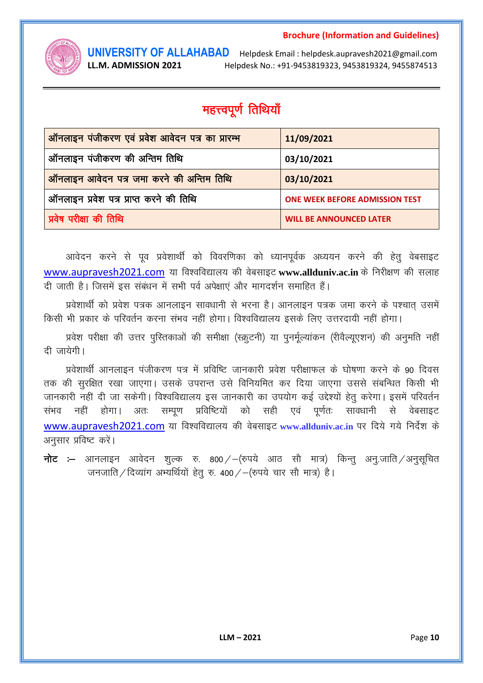

LL.M. ADMISSION 2021

**UNIVERSITY OF ALLAHABAD** Helpdesk Email : helpdesk.aupravesh2021@gmail.com Helpdesk No.: +91-9453819323, 9453819324, 9455874513

# महत्त्वपूर्ण तिथियाँ

| ऑनलाइन पंजीकरण एवं प्रवेश आवेदन पत्र का प्रारम्भ | 11/09/2021                            |
|--------------------------------------------------|---------------------------------------|
| ऑनलाइन पंजीकरण की अन्तिम तिथि                    | 03/10/2021                            |
| ऑनलाइन आवेदन पत्र जमा करने की अन्तिम तिथि        | 03/10/2021                            |
| ऑनलाइन प्रवेश पत्र प्राप्त करने की तिथि          | <b>ONE WEEK BEFORE ADMISSION TEST</b> |
| प्रवेष परीक्षा की तिथि                           | <b>WILL BE ANNOUNCED LATER</b>        |

आवेदन करने से पूव प्रवेशार्थी को विवरणिका को ध्यानपूर्वक अध्ययन करने की हेतु वेबसाइट www.aupravesh2021.com या विश्वविद्यालय की वेबसाइट www.allduniv.ac.in के निरीक्षण की सलाह दी जाती है। जिसमें इस संबंधन में सभी पर्व अपेक्षाएं और मागदर्शन समाहित हैं।

प्रवेशार्थी को प्रवेश पत्रक आनलाइन सावधानी से भरना है। आनलाइन पत्रक जमा करने के पश्चात उसमें किसी भी प्रकार के परिवर्तन करना संभव नहीं होगा। विश्वविद्यालय इसके लिए उत्तरदायी नहीं होगा।

प्रवेश परीक्षा की उत्तर पुस्तिकाओं की समीक्षा (स्क्रूटनी) या पुनर्मूल्यांकन (रीवैल्यूएशन) की अनुमति नहीं दी जायेगी।

प्रवेशार्थी आनलाइन पंजीकरण पत्र में प्रविष्टि जानकारी प्रवेश परीक्षाफल के घोषणा करने के 90 दिवस तक की सुरक्षित रखा जाएगा। उसके उपरान्त उसे विनियमित कर दिया जाएगा उससे संबन्धित किसी भी जानकारी नहीं दी जा सकेगी। विश्वविद्यालय इस जानकारी का उपयोग कई उद्देश्यों हेतु करेगा। इसमें परिवर्तन संभव नहीं होगा। अतः सम्पूण प्रविष्टियों को सही एवं पर्णतः सावधानी से वेबसाइट www.aupravesh2021.com या विश्वविद्यालय की वेबसाइट www.allduniv.ac.in पर दिये गये निर्देश के अनुसार प्रविष्ट करें।

**नोट :–** आनलाइन आवेदन शुल्क रु. 800 / – (रुपये आठ सौ मात्र) किन्तु अन्.जाति /अनुसूचित जनजाति / दिव्यांग अभ्यर्थियों हेतु रु. 400 / - (रुपये चार सौ मात्र) है।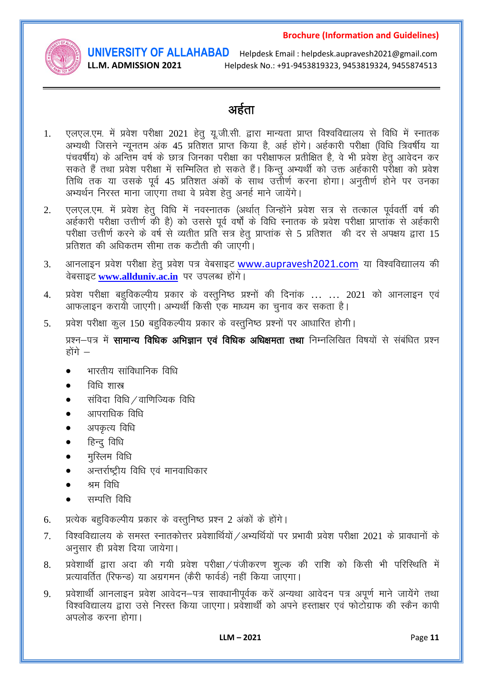

LL.M. ADMISSION 2021

**UNIVERSITY OF ALLAHABAD** Helpdesk Email : helpdesk.aupravesh2021@gmail.com Helpdesk No.: +91-9453819323, 9453819324, 9455874513

# अर्हता

- एलएल.एम. में प्रवेश परीक्षा 2021 हेतू यू.जी.सी. द्वारा मान्यता प्राप्त विश्वविद्यालय से विधि में स्नातक  $1.$ ........<br>अभ्यथी जिसने न्यूनतम अंक 45 प्रतिशत प्राप्त किया है, अर्ह होंगे। अर्हकारी परीक्षा (विधि त्रिवर्षीय या पंचवर्षीय) के अन्तिम वर्ष के छात्र जिनका परीक्षा का परीक्षाफल प्रतीक्षित है, वे भी प्रवेश हेतु आवेदन कर सकते हैं तथा प्रवेश परीक्षा में सम्मिलित हो सकते हैं। किन्तु अभ्यर्थी को उक्त अर्हकारी पर्रोक्षा को प्रवेश तिथि तक या उसके पूर्व 45 प्रतिशत अंकों के साथ उत्तीर्ण करना होगा। अनुतीर्ण होने पर उनका अभ्यर्थन निरस्त माना जाएगा तथा वे प्रवेश हेतु अनई माने जायेंगे।
- एलएल.एम. में प्रवेश हेतू विधि में नवस्नातक (अर्थात् जिन्होंने प्रवेश सत्र से तत्काल पूर्ववर्ती वर्ष की  $\overline{2}$ . ्<br>अर्हकारी परीक्षा उत्तीर्ण की है) को उससे पूर्व वर्षों के विधि स्नातक के प्रवेश परीक्षा प्राप्तांक से अर्हकारी परीक्षा उत्तीर्ण करने के वर्ष से व्यतीत प्रति सत्र हेतु प्राप्तांक से 5 प्रतिशत की दर से अपक्षय द्वारा 15 प्रतिशत की अधिकतम सीमा तक कटौती की जाएगी।
- आनलाइन प्रवेश परीक्षा हेतु प्रवेश पत्र वेबसाइट www.aupravesh2021.com या विश्वविद्याालय की  $\overline{3}$ . वेबसाइट www.allduniv.ac.in पर उपलब्ध होंगे।
- प्रवेश परीक्षा बहुविकल्पीय प्रकार के वस्तुनिष्ठ प्रश्नों की दिनांक ... ... 2021 को आनलाइन एवं  $\overline{4}$ . आफलाइन करायी जाएगी। अभ्यर्थी किसी एक माध्यम का चुनाव कर सकता है।
- प्रवेश परीक्षा कुल 150 बहुविकल्पीय प्रकार के वस्तुनिष्ठ प्रश्नों पर आधारित होगी। 5.

प्रश्न–पत्र में **सामान्य विधिक अभिज्ञान एवं विधिक अधिक्षमता तथा** निम्नलिखित विषयों से संबंधित प्रश्न होंगे –

- भारतीय सांविधानिक विधि
- विधि शास्त्र
- संविदा विधि / वाणिज्यिक विधि
- आपराधिक विधि
- अपकृत्य विधि
- हिन्दू विधि
- मस्लिम विधि
- अन्तर्राष्ट्रीय विधि एवं मानवाधिकार
- श्रम विधि
- सम्पत्ति विधि
- प्रत्येक बहुविकल्पीय प्रकार के वस्तुनिष्ठ प्रश्न 2 अंकों के होंगे। 6.
- विश्वविद्यालय के समस्त स्नातकोत्तर प्रवेशार्थियों / अभ्यर्थियों पर प्रभावी प्रवेश परीक्षा 2021 के प्रावधानों के  $7<sub>1</sub>$ अनुसार ही प्रवेश दिया जायेगा।
- प्रवेशार्थी द्वारा अदा की गयी प्रवेश परीक्षा / पंजीकरण शल्क की राशि को किसी भी परिस्थिति में 8. प्रत्यावर्तित (रिफन्ड) या अग्रगमन (केरी फार्वर्ड) नहीं किया जाएगा।
- प्रवेशार्थी आनलाइन प्रवेश आवेदन–पत्र सावधानीपूर्वक करें अन्यथा आवेदन पत्र अपूर्ण माने जायेंगे तथा 9. विश्वविद्यालय द्वारा उसे निरस्त किया जाएगा। प्रवेशार्थी को अपने हस्ताक्षर एवं फोटोग्राफ की स्कैन कापी अपलोड करना होगा।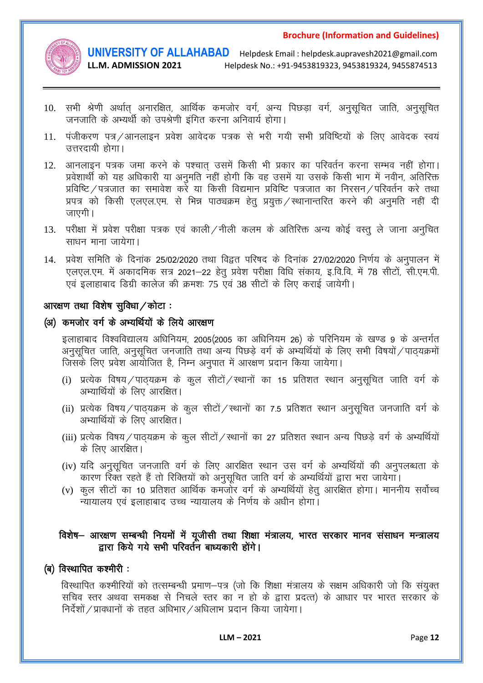

LL.M. ADMISSION 2021

**UNIVERSITY OF ALLAHABAD** Helpdesk Email : helpdesk.aupravesh2021@gmail.com Helpdesk No.: +91-9453819323, 9453819324, 9455874513

- 10. सभी श्रेणी अर्थात् अनारक्षित, आर्थिक कमजोर वर्ग, अन्य पिछड़ा वर्ग, अनुसूचित जाति, अनुसूचित जनजाति के अभ्यर्थी को उपश्रेणी इंगित करना अनिवार्य होगा।
- 11. पंजीकरण पत्र / आनलाइन प्रवेश आवेदक पत्रक से भरी गयी सभी प्रविष्टियों के लिए आवेदक स्वयं उत्तरदायी होगा।
- 12. आनलाइन पत्रक जमा करने के पश्चात उसमें किसी भी प्रकार का परिवर्तन करना सम्भव नहीं होगा। प्रवेशार्थी को यह अधिकारी या अनुमति नहीं होगी कि वह उसमें या उसके किसी भाग में नवीन, अतिरिक्त प्रविष्टि / पत्रजात का समावेश करे या किसी विद्यमान प्रविष्टि पत्रजात का निरसन / परिवर्तन करे तथा प्रपत्र को किसी एलएल.एम. से भिन्न पाठ्यक्रम हेतू प्रयुक्त / स्थानान्तरित करने की अनुमति नहीं दी जाएगी।
- 13. परीक्षा में प्रवेश परीक्षा पत्रक एवं काली / नीली कलम के अतिरिक्त अन्य कोई वस्त ले जाना अनचित साधन माना जायेगा।
- 14. प्रवेश समिति के दिनांक 25/02/2020 तथा विद्वत परिषद के दिनांक 27/02/2020 निर्णय के अनुपालन में एलएल.एम. में अकादमिक सत्र 2021–22 हेतु प्रवेश परीक्षा विधि संकाय, इ.वि.वि. में 78 सीटों, सी.एम.पी. एवं इलाहाबाद डिग्री कालेज की क्रमशः 75 एवं 38 सीटों के लिए कराई जायेगी।

### आरक्षण तथा विशेष सुविधा / कोटा:

### (अ) कमजोर वर्ग के अभ्यर्थियों के लिये आरक्षण

इलाहाबाद विश्वविद्यालय अधिनियम, 2005(2005 का अधिनियम 26) के परिनियम के खण्ड 9 के अन्तर्गत अनुसुचित जाति, अनुसुचित जनजाति तथा अन्य पिछडे वर्ग के अभ्यर्थियों के लिए सभी विषयों / पाठयक्रमों जिसके लिए प्रवेश आयोजित है, निम्न अनुपात में आरक्षण प्रदान किया जायेगा।

- (i) प्रत्येक विषय / पाठ्यक्रम के कूल सीटों / स्थानों का 15 प्रतिशत स्थान अनुसूचित जाति वर्ग के अभ्यार्थियों के लिए आरक्षित।
- (ii) प्रत्येक विषय/पाठ्यक्रम के कूल सीटों/स्थानों का 7.5 प्रतिशत स्थान अनुसूचित जनजाति वर्ग के अभ्यार्थियों के लिए आरक्षित।
- (iii) प्रत्येक विषय / पाठ्यक्रम के कूल सीटों / स्थानों का 27 प्रतिशत स्थान अन्य पिछड़े वर्ग के अभ्यर्थियों के लिए आरक्षित।
- (iv) यदि अनुसूचित जनजाति वर्ग के लिए आरक्षित स्थान उस वर्ग के अभ्यर्थियों की अनुपलब्धता के कारण रिक्त रहते हैं तो रिक्तियों को अनुसुचित जाति वर्ग के अभ्यर्थियों द्वारा भरा जायेगा।
- (v) कुल सीटों का 10 प्रतिशत आर्थिक कमजोर वर्ग के अभ्यर्थियों हेतु आरक्षित होगा। माननीय सर्वोच्च न्यायालय एवं इलाहाबाद उच्च न्यायालय के निर्णय के अधीन होगा।

# विशेष- आरक्षण सम्बन्धी नियमों में यूजीसी तथा शिक्षा मंत्रालय, भारत सरकार मानव संसाधन मन्त्रालय द्वारा किये गये सभी परिवर्तन बाध्यकारी होंगे।

### (ब) विस्थापित कश्मीरी :

विस्थापित कश्मीरियों को तत्सम्बन्धी प्रमाण-पत्र (जो कि शिक्षा मंत्रालय के सक्षम अधिकारी जो कि संयुक्त सचिव स्तर अथवा समकक्ष से निचले स्तर का न हो के द्वारा प्रदत्त) के आधार पर भारत सरकार के निर्देशों / प्रावधानों के तहत अधिभार / अधिलाभ प्रदान किया जायेगा।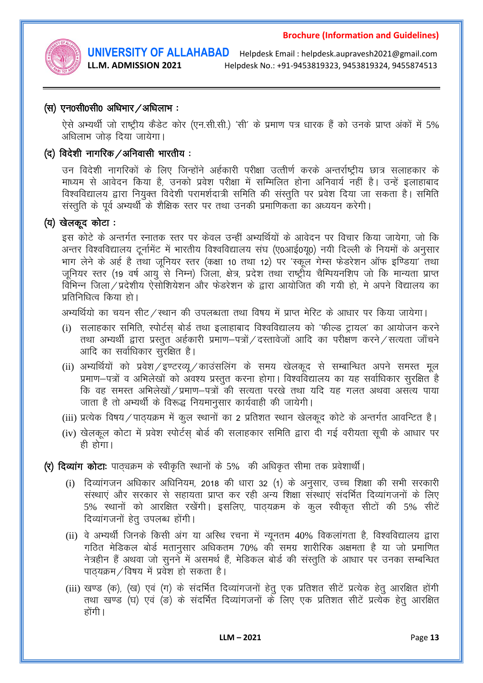

LL.M. ADMISSION 2021

**UNIVERSITY OF ALLAHABAD** Helpdesk Email : helpdesk.aupravesh2021@gmail.com Helpdesk No.: +91-9453819323, 9453819324, 9455874513

### (स) एन0सी0सी0 अधिभार / अधिलाभ:

ऐसे अभ्यर्थी जो राष्ट्रीय कैडेट कोर (एन.सी.सी.) 'सी' के प्रमाण पत्र धारक हैं को उनके प्राप्त अंकों में 5% अधिलाभ जोड दिया जायेगा।

# (द) विदेशी नागरिक / अनिवासी भारतीय:

उन विदेशी नागरिकों के लिए जिन्होंने अर्हकारी परीक्षा उत्तीर्ण करके अन्तर्राष्ट्रीय छात्र सलाहकार के माध्यम से आवेदन किया है, उनको प्रवेश परीक्षा में सम्मिलित होना अनिवार्य नहीं है। उन्हें इलाहाबाद विश्वविद्यालय द्वारा नियुक्त विदेशी परामर्शदात्री समिति की संस्तुति पर प्रवेश दिया जा सकता है। समिति संस्तुति के पूर्व अभ्यर्थी के शैक्षिक स्तर पर तथा उनकी प्रमाणिकता का अध्ययन करेगी।

### (य) खेलकूद कोटा:

इस कोटे के अन्तर्गत स्नातक स्तर पर केवल उन्हीं अभ्यर्थियों के आवेदन पर विचार किया जायेगा, जो कि अन्तर विश्वविद्यालय टूर्नामेंट में भारतीय विश्वविद्यालय संघ (ए0आई0यू0) नयी दिल्ली के नियमों के अनुसार भाग लेने के अर्ह है तथा जुनियर स्तर (कक्षा 10 तथा 12) पर 'स्कूल गेम्स फेडरेशन ऑफ इण्डिया' तथा जूनियर स्तर (19 वर्ष आयु<sup>ें</sup>से निम्न) जिला, क्षेत्र, प्रदेश तथा राष्ट्रीय चैम्पियनशिप जो कि मान्यता प्राप्त विभिन्न जिला ⁄ प्रदेशीय ऐसोशियेशन और फेडरेशन के द्वारा आयोजित की गयी हो. मे अपने विद्यालय का प्रतिनिधित्व किया हो।

अभ्यर्थियो का चयन सीट/स्थान की उपलब्धता तथा विषय में प्राप्त मेरिट के आधार पर किया जायेगा।

- (i) सलाहकार समिति, स्पोर्टस बोर्ड तथा इलाहाबाद विश्वविद्यालय को 'फील्ड ट्रायल' का आयोजन करने तथा अभ्यर्थी द्वारा प्रस्तुत अर्हकारी प्रमाण-पत्रों / दस्तावेजों आदि का परीक्षण करने / सत्यता जाँचने आदि का सर्वाधिकार सुरक्षित है।
- (ii) अभ्यर्थियों को प्रवेश/इण्टरव्यू/काउंसलिंग के समय खेलकूद से सम्बान्धित अपने समस्त मूल प्रमाण–पत्रों व अभिलेखों को अवश्य प्रस्तुत करना होगा। विश्वविद्यालय का यह सर्वाधिकार सुरक्षित है कि वह समस्त अभिलेखों / प्रमाण-पत्रों की सत्यता परखे तथा यदि यह गलत अथवा असत्य पाया जाता है तो अभ्यर्थी के विरूद्ध नियमानसार कार्यवाही की जायेगी।
- (iii) प्रत्येक विषय / पाठयक्रम में कूल स्थानों का 2 प्रतिशत स्थान खेलकूद कोटे के अन्तर्गत आवन्टित है।
- (iv) खेलकल कोटा में प्रवेश स्पोर्टस बोर्ड की सलाहकार समिति द्वारा दी गई वरीयता सची के आधार पर ही होगा।

(र) दिव्यांग कोटाः पाठ्यक्रम के स्वीकृति स्थानों के 5% की अधिकत सीमा तक प्रवेशार्थी।

- (i) दिव्यांगजन अधिकार अधिनियम, 2018 की धारा 32 (1) के अनुसार, उच्च शिक्षा की सभी सरकारी संस्थाएं और सरकार से सहायता प्राप्त कर रही अन्य शिक्षा संस्थाएं संदर्भित दिव्यांगजनों के लिए 5% स्थानों को आरक्षित रखेंगी। इसलिए, पाठयक्रम के कुल स्वीकृत सीटों की 5% सीटें दिव्यांगजनों हेतू उपलब्ध होंगी।
- (ii) वे अभ्यर्थी जिनके किसी अंग या अस्थि रचना में न्यूनतम 40% विकलांगता है, विश्वविद्यालय द्वारा गठित मेडिकल बोर्ड मतानुसार अधिकतम 70% की समग्र शारीरिक अक्षमता है या जो प्रमाणित नेत्रहीन हैं अथवा जो सुनने में असमर्थ हैं, मेडिकल बोर्ड की संस्तुति के आधार पर उनका सम्बन्धित पाठयक्रम / विषय में प्रवेश हो सकता है।
- (iii) खण्ड (क), (ख) एवं (ग) के संदर्भित दिव्यांगजनों हेत् एक प्रतिशत सीटें प्रत्येक हेत् आरक्षित होंगी तथा खण्ड (घ) एवं (ङ) के संदर्भित दिव्यांगजनों के लिए एक प्रतिशत सीटें प्रत्येक हेत आरक्षित होंगी ।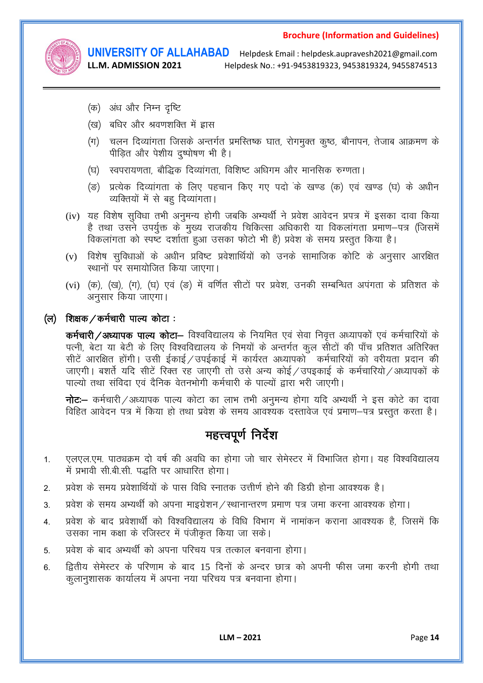

LL.M. ADMISSION 2021

**UNIVERSITY OF ALLAHABAD** Helpdesk Email : helpdesk.aupravesh2021@gmail.com Helpdesk No.: +91-9453819323, 9453819324, 9455874513

- (क) अंध और निम्न दृष्टि
- (ख) बधिर और श्रवणशक्ति में ह्वास
- (ग) चलन दिव्यांगता जिसके अन्तर्गत प्रमस्तिष्क घात, रोगमुक्त कृष्ठ, बौनापन, तेजाब आक्रमण के पीड़ित और पेशीय द्ष्पोषण भी है।
- (घ) स्वपरायणता, बौद्धिक दिव्यांगता, विशिष्ट अधिगम और मानसिक रुग्णता।
- (ङ) प्रत्येक दिव्यांगता के लिए पहचान किए गए पदो के खण्ड (क) एवं खण्ड (घ) के अधीन व्यक्तियों में से बहु दिव्यांगता।
- (iv) यह विशेष सुविधा तभी अनुमन्य होगी जबकि अभ्यर्थी ने प्रवेश आवेदन प्रपत्र में इसका दावा किया है तथा उसने उपर्युक्त के मुख्य राजकीय चिकित्सा अधिकारी या विकलांगता प्रमाण–पत्र (जिसमें विकलांगता को स्पष्ट दर्शाता हुआ उसका फोटो भी है) प्रवेश के समय प्रस्तत किया है।
- (v) विशेष सुविधाओं के अधीन प्रविष्ट प्रवेशार्थियों को उनके सामाजिक कोटि के अनुसार आरक्षित स्थानों पर समायोजित किया जाएगा।
- (vi) (क), (ख), (ग), (घ) एवं (ङ) में वर्णित सीटों पर प्रवेश, उनकी सम्बन्धित अपंगता के प्रतिशत के अनुसार किया जाएगा।

## (ल) शिक्षक / कर्मचारी पाल्य कोटा:

कर्मचारी / अध्यापक पाल्य कोटा- विश्वविद्यालय के नियमित एवं सेवा निवृत्त अध्यापकों एवं कर्मचारियों के पत्नी, बेटा या बेटी के लिए विश्वविद्यालय के निमयों के अन्तर्गत कुल सीटों की पाँच प्रतिशत अतिरिक्त सीटें आरक्षित होंगी। उसी ईकाई / उपईकाई में कार्यरत अध्यापकों कर्मचारियों को वरीयता प्रदान की जाएगी। बशर्ते यदि सीटें रिक्त रह जाएगी तो उसे अन्य कोई / उपइकाई के कर्मचारियो / अध्यापकों के पाल्यो तथा संविदा एवं दैनिक वेतनभोगी कर्मचारी के पाल्यों द्वारा भरी जाएगी।

नोट:- कर्मचारी / अध्यापक पाल्य कोटा का लाभ तभी अनुमन्य होगा यदि अभ्यर्थी ने इस कोटे का दावा विहित आवेदन पत्र में किया हो तथा प्रवेश के समय आवश्यक दस्तावेज एवं प्रमाण–पत्र प्रस्तत करता है।

# महत्त्वपूर्ण निर्देश

- एलएल.एम. पाठ्यक्रम दो वर्ष की अवधि का होगा जो चार सेमेस्टर में विभाजित होगा। यह विश्वविद्यालय  $1<sup>1</sup>$ में प्रभावी सी.बी.सी. पद्धति पर आधारित होगा।
- प्रवेश के समय प्रवेशार्थियों के पास विधि स्नातक उत्तीर्ण होने की दिग्री होना आवश्यक है।  $2<sub>1</sub>$
- प्रवेश के समय अभ्यर्थी को अपना माइग्रेशन / स्थानान्तरण प्रमाण पत्र जमा करना आवश्यक होगा।  $3.$
- प्रवेश के बाद प्रवेशार्थी को विश्वविद्यालय के विधि विभाग में नामांकन कराना आवश्यक है, जिसमें कि  $\overline{4}$ उसका नाम कक्षा के रजिस्टर में पंजीकृत किया जा सके।
- प्रवेश के बाद अभ्यर्थी को अपना परिचय पत्र तत्काल बनवाना होगा।  $5<sub>1</sub>$
- द्वितीय सेमेस्टर के परिणाम के बाद 15 दिनों के अन्दर छात्र को अपनी फीस जमा करनी होगी तथा  $6 \overline{6}$ कलानशासक कार्यालय में अपना नया परिचय पत्र बनवाना होगा।